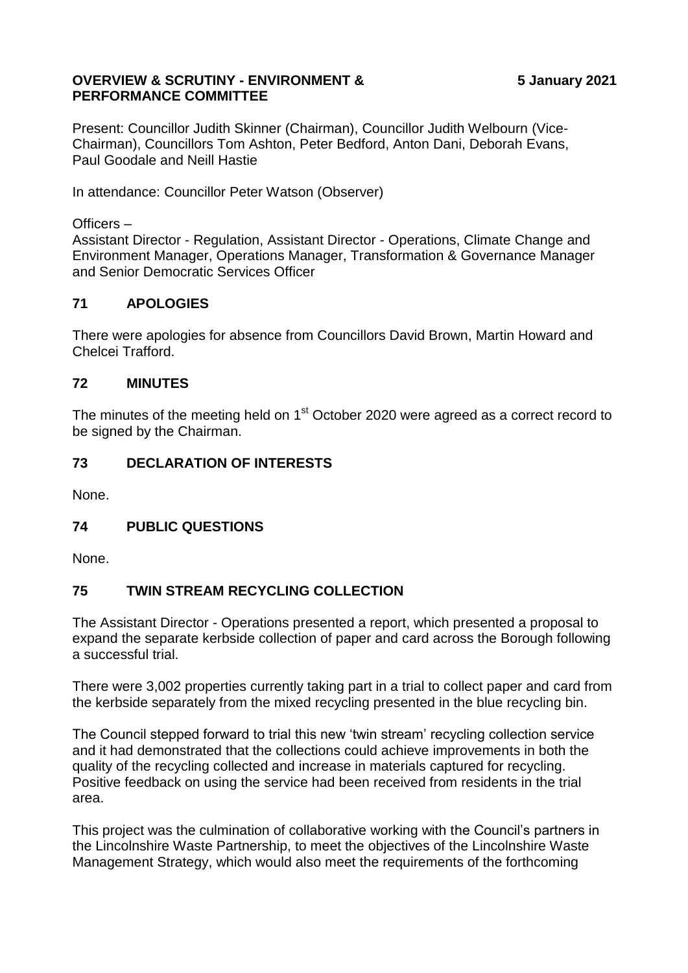#### **OVERVIEW & SCRUTINY - ENVIRONMENT & PERFORMANCE COMMITTEE**

Present: Councillor Judith Skinner (Chairman), Councillor Judith Welbourn (Vice-Chairman), Councillors Tom Ashton, Peter Bedford, Anton Dani, Deborah Evans, Paul Goodale and Neill Hastie

In attendance: Councillor Peter Watson (Observer)

### Officers –

Assistant Director - Regulation, Assistant Director - Operations, Climate Change and Environment Manager, Operations Manager, Transformation & Governance Manager and Senior Democratic Services Officer

# **71 APOLOGIES**

There were apologies for absence from Councillors David Brown, Martin Howard and Chelcei Trafford.

# **72 MINUTES**

The minutes of the meeting held on 1<sup>st</sup> October 2020 were agreed as a correct record to be signed by the Chairman.

# **73 DECLARATION OF INTERESTS**

None.

# **74 PUBLIC QUESTIONS**

None.

# **75 TWIN STREAM RECYCLING COLLECTION**

The Assistant Director - Operations presented a report, which presented a proposal to expand the separate kerbside collection of paper and card across the Borough following a successful trial.

There were 3,002 properties currently taking part in a trial to collect paper and card from the kerbside separately from the mixed recycling presented in the blue recycling bin.

The Council stepped forward to trial this new 'twin stream' recycling collection service and it had demonstrated that the collections could achieve improvements in both the quality of the recycling collected and increase in materials captured for recycling. Positive feedback on using the service had been received from residents in the trial area.

This project was the culmination of collaborative working with the Council's partners in the Lincolnshire Waste Partnership, to meet the objectives of the Lincolnshire Waste Management Strategy, which would also meet the requirements of the forthcoming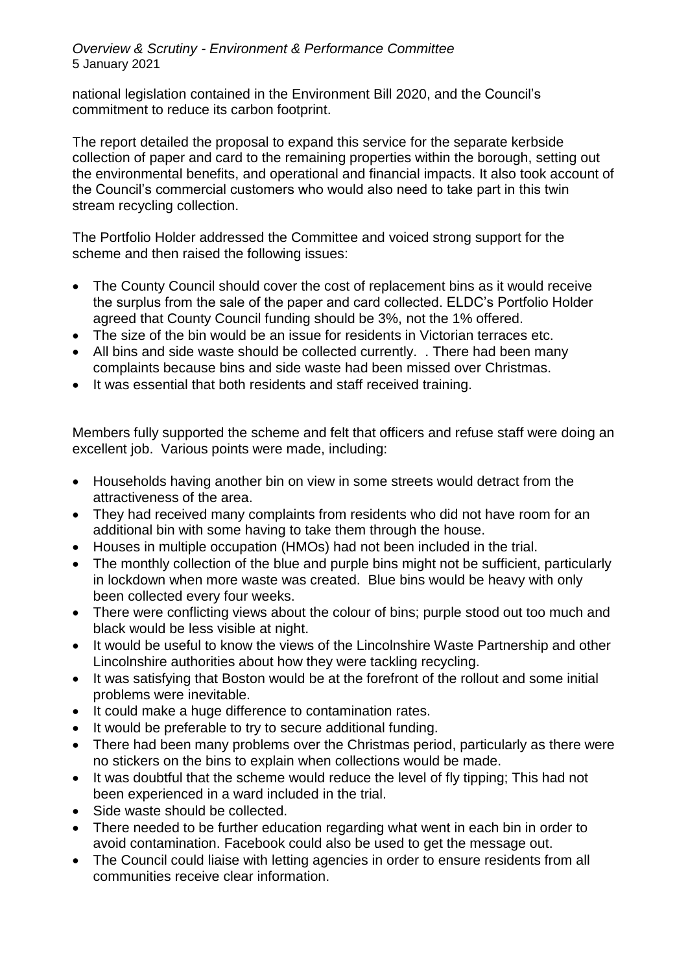national legislation contained in the Environment Bill 2020, and the Council's commitment to reduce its carbon footprint.

The report detailed the proposal to expand this service for the separate kerbside collection of paper and card to the remaining properties within the borough, setting out the environmental benefits, and operational and financial impacts. It also took account of the Council's commercial customers who would also need to take part in this twin stream recycling collection.

The Portfolio Holder addressed the Committee and voiced strong support for the scheme and then raised the following issues:

- The County Council should cover the cost of replacement bins as it would receive the surplus from the sale of the paper and card collected. ELDC's Portfolio Holder agreed that County Council funding should be 3%, not the 1% offered.
- The size of the bin would be an issue for residents in Victorian terraces etc.
- All bins and side waste should be collected currently. . There had been many complaints because bins and side waste had been missed over Christmas.
- It was essential that both residents and staff received training.

Members fully supported the scheme and felt that officers and refuse staff were doing an excellent job. Various points were made, including:

- Households having another bin on view in some streets would detract from the attractiveness of the area.
- They had received many complaints from residents who did not have room for an additional bin with some having to take them through the house.
- Houses in multiple occupation (HMOs) had not been included in the trial.
- The monthly collection of the blue and purple bins might not be sufficient, particularly in lockdown when more waste was created. Blue bins would be heavy with only been collected every four weeks.
- There were conflicting views about the colour of bins; purple stood out too much and black would be less visible at night.
- It would be useful to know the views of the Lincolnshire Waste Partnership and other Lincolnshire authorities about how they were tackling recycling.
- It was satisfying that Boston would be at the forefront of the rollout and some initial problems were inevitable.
- It could make a huge difference to contamination rates.
- It would be preferable to try to secure additional funding.
- There had been many problems over the Christmas period, particularly as there were no stickers on the bins to explain when collections would be made.
- It was doubtful that the scheme would reduce the level of fly tipping: This had not been experienced in a ward included in the trial.
- Side waste should be collected.
- There needed to be further education regarding what went in each bin in order to avoid contamination. Facebook could also be used to get the message out.
- The Council could liaise with letting agencies in order to ensure residents from all communities receive clear information.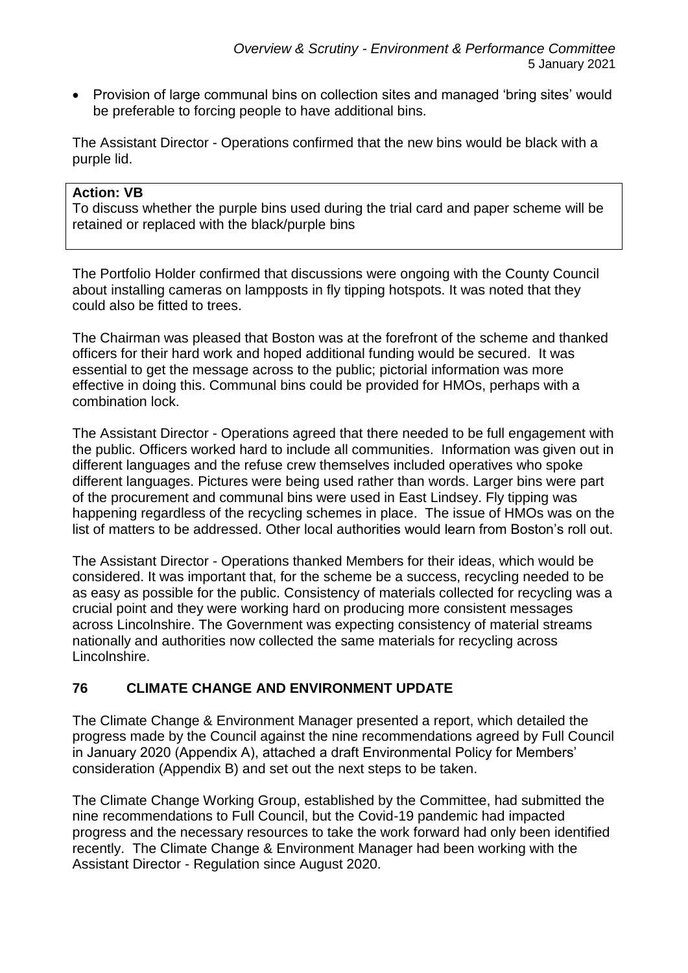• Provision of large communal bins on collection sites and managed 'bring sites' would be preferable to forcing people to have additional bins.

The Assistant Director - Operations confirmed that the new bins would be black with a purple lid.

### **Action: VB**

To discuss whether the purple bins used during the trial card and paper scheme will be retained or replaced with the black/purple bins

The Portfolio Holder confirmed that discussions were ongoing with the County Council about installing cameras on lampposts in fly tipping hotspots. It was noted that they could also be fitted to trees.

The Chairman was pleased that Boston was at the forefront of the scheme and thanked officers for their hard work and hoped additional funding would be secured. It was essential to get the message across to the public; pictorial information was more effective in doing this. Communal bins could be provided for HMOs, perhaps with a combination lock.

The Assistant Director - Operations agreed that there needed to be full engagement with the public. Officers worked hard to include all communities. Information was given out in different languages and the refuse crew themselves included operatives who spoke different languages. Pictures were being used rather than words. Larger bins were part of the procurement and communal bins were used in East Lindsey. Fly tipping was happening regardless of the recycling schemes in place. The issue of HMOs was on the list of matters to be addressed. Other local authorities would learn from Boston's roll out.

The Assistant Director - Operations thanked Members for their ideas, which would be considered. It was important that, for the scheme be a success, recycling needed to be as easy as possible for the public. Consistency of materials collected for recycling was a crucial point and they were working hard on producing more consistent messages across Lincolnshire. The Government was expecting consistency of material streams nationally and authorities now collected the same materials for recycling across Lincolnshire.

# **76 CLIMATE CHANGE AND ENVIRONMENT UPDATE**

The Climate Change & Environment Manager presented a report, which detailed the progress made by the Council against the nine recommendations agreed by Full Council in January 2020 (Appendix A), attached a draft Environmental Policy for Members' consideration (Appendix B) and set out the next steps to be taken.

The Climate Change Working Group, established by the Committee, had submitted the nine recommendations to Full Council, but the Covid-19 pandemic had impacted progress and the necessary resources to take the work forward had only been identified recently. The Climate Change & Environment Manager had been working with the Assistant Director - Regulation since August 2020.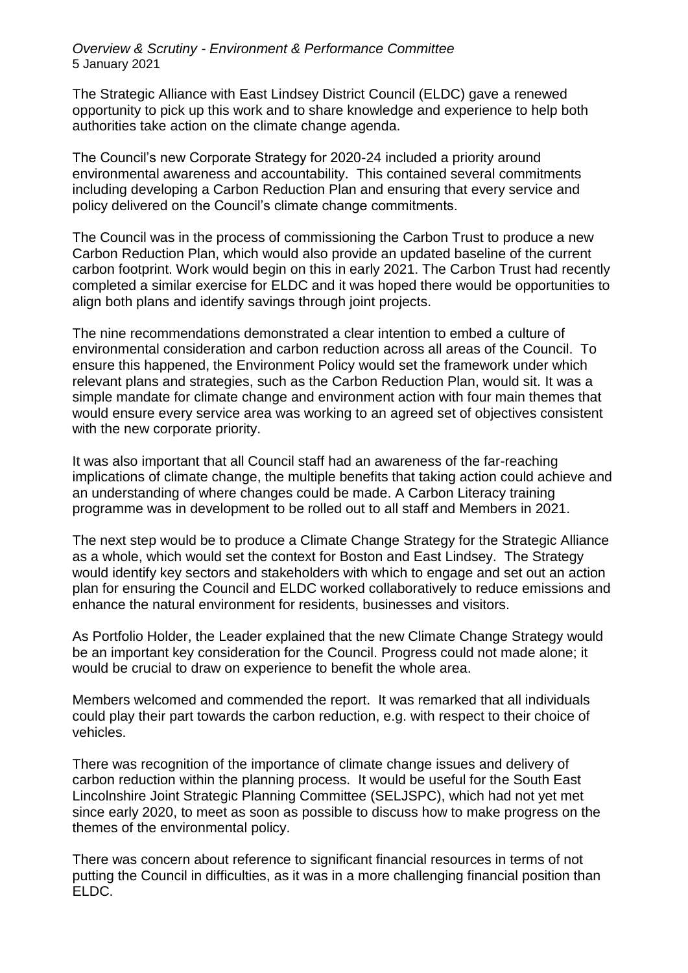*Overview & Scrutiny - Environment & Performance Committee* 5 January 2021

The Strategic Alliance with East Lindsey District Council (ELDC) gave a renewed opportunity to pick up this work and to share knowledge and experience to help both authorities take action on the climate change agenda.

The Council's new Corporate Strategy for 2020-24 included a priority around environmental awareness and accountability. This contained several commitments including developing a Carbon Reduction Plan and ensuring that every service and policy delivered on the Council's climate change commitments.

The Council was in the process of commissioning the Carbon Trust to produce a new Carbon Reduction Plan, which would also provide an updated baseline of the current carbon footprint. Work would begin on this in early 2021. The Carbon Trust had recently completed a similar exercise for ELDC and it was hoped there would be opportunities to align both plans and identify savings through joint projects.

The nine recommendations demonstrated a clear intention to embed a culture of environmental consideration and carbon reduction across all areas of the Council. To ensure this happened, the Environment Policy would set the framework under which relevant plans and strategies, such as the Carbon Reduction Plan, would sit. It was a simple mandate for climate change and environment action with four main themes that would ensure every service area was working to an agreed set of objectives consistent with the new corporate priority.

It was also important that all Council staff had an awareness of the far-reaching implications of climate change, the multiple benefits that taking action could achieve and an understanding of where changes could be made. A Carbon Literacy training programme was in development to be rolled out to all staff and Members in 2021.

The next step would be to produce a Climate Change Strategy for the Strategic Alliance as a whole, which would set the context for Boston and East Lindsey. The Strategy would identify key sectors and stakeholders with which to engage and set out an action plan for ensuring the Council and ELDC worked collaboratively to reduce emissions and enhance the natural environment for residents, businesses and visitors.

As Portfolio Holder, the Leader explained that the new Climate Change Strategy would be an important key consideration for the Council. Progress could not made alone; it would be crucial to draw on experience to benefit the whole area.

Members welcomed and commended the report. It was remarked that all individuals could play their part towards the carbon reduction, e.g. with respect to their choice of vehicles.

There was recognition of the importance of climate change issues and delivery of carbon reduction within the planning process. It would be useful for the South East Lincolnshire Joint Strategic Planning Committee (SELJSPC), which had not yet met since early 2020, to meet as soon as possible to discuss how to make progress on the themes of the environmental policy.

There was concern about reference to significant financial resources in terms of not putting the Council in difficulties, as it was in a more challenging financial position than ELDC.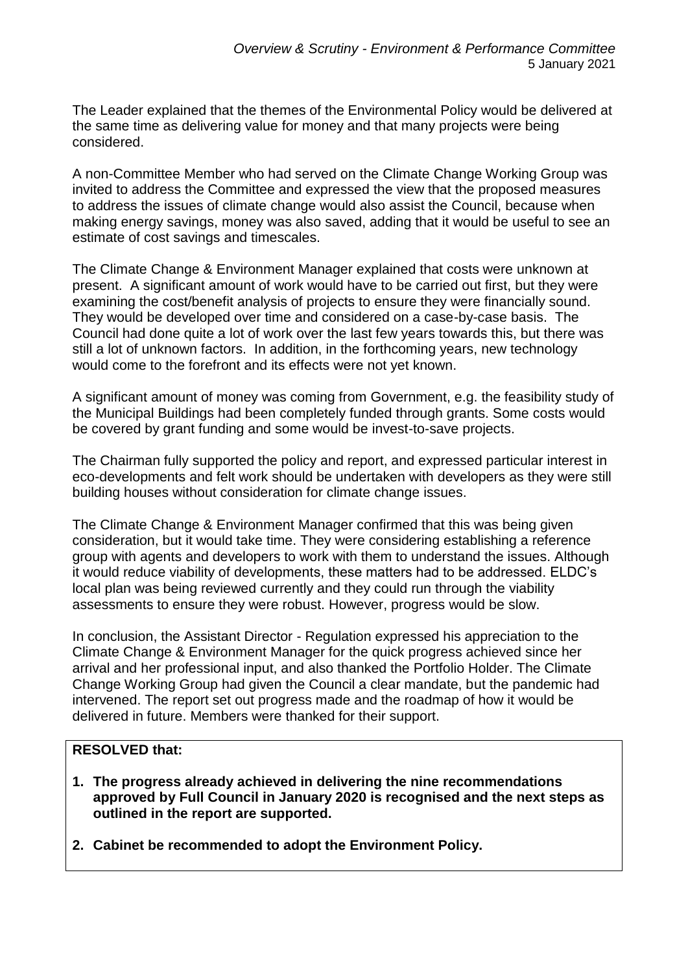The Leader explained that the themes of the Environmental Policy would be delivered at the same time as delivering value for money and that many projects were being considered.

A non-Committee Member who had served on the Climate Change Working Group was invited to address the Committee and expressed the view that the proposed measures to address the issues of climate change would also assist the Council, because when making energy savings, money was also saved, adding that it would be useful to see an estimate of cost savings and timescales.

The Climate Change & Environment Manager explained that costs were unknown at present. A significant amount of work would have to be carried out first, but they were examining the cost/benefit analysis of projects to ensure they were financially sound. They would be developed over time and considered on a case-by-case basis. The Council had done quite a lot of work over the last few years towards this, but there was still a lot of unknown factors. In addition, in the forthcoming years, new technology would come to the forefront and its effects were not yet known.

A significant amount of money was coming from Government, e.g. the feasibility study of the Municipal Buildings had been completely funded through grants. Some costs would be covered by grant funding and some would be invest-to-save projects.

The Chairman fully supported the policy and report, and expressed particular interest in eco-developments and felt work should be undertaken with developers as they were still building houses without consideration for climate change issues.

The Climate Change & Environment Manager confirmed that this was being given consideration, but it would take time. They were considering establishing a reference group with agents and developers to work with them to understand the issues. Although it would reduce viability of developments, these matters had to be addressed. ELDC's local plan was being reviewed currently and they could run through the viability assessments to ensure they were robust. However, progress would be slow.

In conclusion, the Assistant Director - Regulation expressed his appreciation to the Climate Change & Environment Manager for the quick progress achieved since her arrival and her professional input, and also thanked the Portfolio Holder. The Climate Change Working Group had given the Council a clear mandate, but the pandemic had intervened. The report set out progress made and the roadmap of how it would be delivered in future. Members were thanked for their support.

# **RESOLVED that:**

- **1. The progress already achieved in delivering the nine recommendations approved by Full Council in January 2020 is recognised and the next steps as outlined in the report are supported.**
- **2. Cabinet be recommended to adopt the Environment Policy.**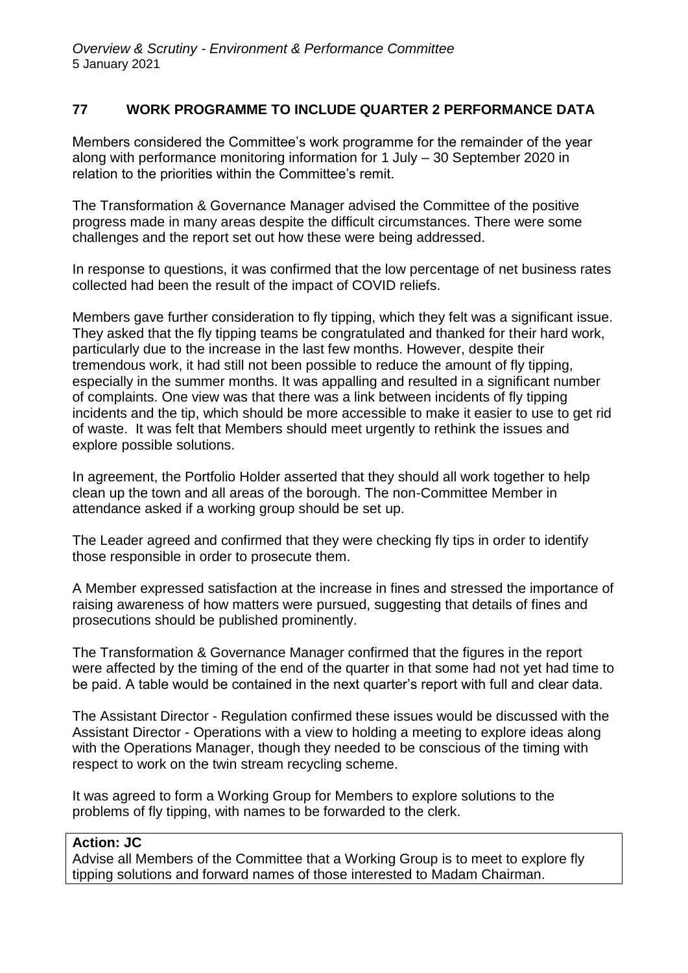# **77 WORK PROGRAMME TO INCLUDE QUARTER 2 PERFORMANCE DATA**

Members considered the Committee's work programme for the remainder of the year along with performance monitoring information for 1 July – 30 September 2020 in relation to the priorities within the Committee's remit.

The Transformation & Governance Manager advised the Committee of the positive progress made in many areas despite the difficult circumstances. There were some challenges and the report set out how these were being addressed.

In response to questions, it was confirmed that the low percentage of net business rates collected had been the result of the impact of COVID reliefs.

Members gave further consideration to fly tipping, which they felt was a significant issue. They asked that the fly tipping teams be congratulated and thanked for their hard work, particularly due to the increase in the last few months. However, despite their tremendous work, it had still not been possible to reduce the amount of fly tipping, especially in the summer months. It was appalling and resulted in a significant number of complaints. One view was that there was a link between incidents of fly tipping incidents and the tip, which should be more accessible to make it easier to use to get rid of waste. It was felt that Members should meet urgently to rethink the issues and explore possible solutions.

In agreement, the Portfolio Holder asserted that they should all work together to help clean up the town and all areas of the borough. The non-Committee Member in attendance asked if a working group should be set up.

The Leader agreed and confirmed that they were checking fly tips in order to identify those responsible in order to prosecute them.

A Member expressed satisfaction at the increase in fines and stressed the importance of raising awareness of how matters were pursued, suggesting that details of fines and prosecutions should be published prominently.

The Transformation & Governance Manager confirmed that the figures in the report were affected by the timing of the end of the quarter in that some had not yet had time to be paid. A table would be contained in the next quarter's report with full and clear data.

The Assistant Director - Regulation confirmed these issues would be discussed with the Assistant Director - Operations with a view to holding a meeting to explore ideas along with the Operations Manager, though they needed to be conscious of the timing with respect to work on the twin stream recycling scheme.

It was agreed to form a Working Group for Members to explore solutions to the problems of fly tipping, with names to be forwarded to the clerk.

#### **Action: JC**

Advise all Members of the Committee that a Working Group is to meet to explore fly tipping solutions and forward names of those interested to Madam Chairman.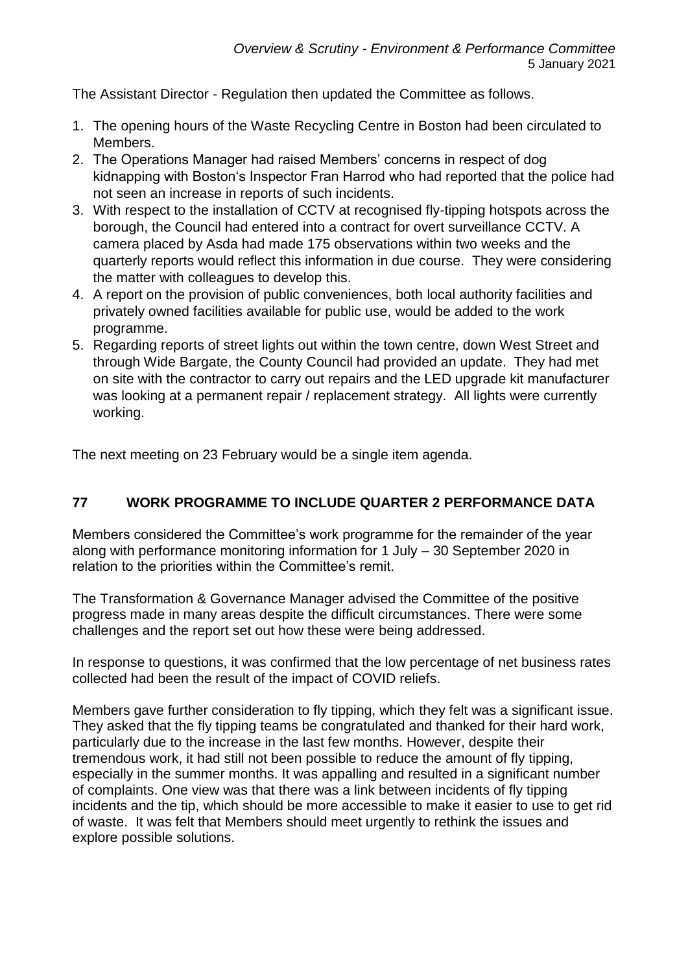The Assistant Director - Regulation then updated the Committee as follows.

- 1. The opening hours of the Waste Recycling Centre in Boston had been circulated to Members.
- 2. The Operations Manager had raised Members' concerns in respect of dog kidnapping with Boston's Inspector Fran Harrod who had reported that the police had not seen an increase in reports of such incidents.
- 3. With respect to the installation of CCTV at recognised fly-tipping hotspots across the borough, the Council had entered into a contract for overt surveillance CCTV. A camera placed by Asda had made 175 observations within two weeks and the quarterly reports would reflect this information in due course. They were considering the matter with colleagues to develop this.
- 4. A report on the provision of public conveniences, both local authority facilities and privately owned facilities available for public use, would be added to the work programme.
- 5. Regarding reports of street lights out within the town centre, down West Street and through Wide Bargate, the County Council had provided an update. They had met on site with the contractor to carry out repairs and the LED upgrade kit manufacturer was looking at a permanent repair / replacement strategy. All lights were currently working.

The next meeting on 23 February would be a single item agenda.

# **77 WORK PROGRAMME TO INCLUDE QUARTER 2 PERFORMANCE DATA**

Members considered the Committee's work programme for the remainder of the year along with performance monitoring information for 1 July – 30 September 2020 in relation to the priorities within the Committee's remit.

The Transformation & Governance Manager advised the Committee of the positive progress made in many areas despite the difficult circumstances. There were some challenges and the report set out how these were being addressed.

In response to questions, it was confirmed that the low percentage of net business rates collected had been the result of the impact of COVID reliefs.

Members gave further consideration to fly tipping, which they felt was a significant issue. They asked that the fly tipping teams be congratulated and thanked for their hard work, particularly due to the increase in the last few months. However, despite their tremendous work, it had still not been possible to reduce the amount of fly tipping, especially in the summer months. It was appalling and resulted in a significant number of complaints. One view was that there was a link between incidents of fly tipping incidents and the tip, which should be more accessible to make it easier to use to get rid of waste. It was felt that Members should meet urgently to rethink the issues and explore possible solutions.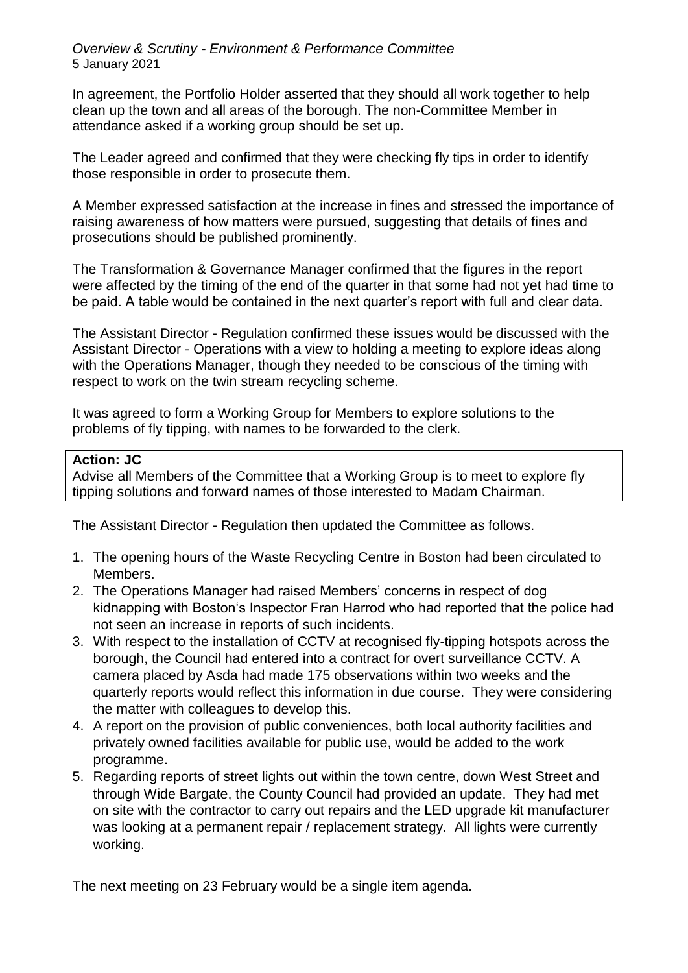*Overview & Scrutiny - Environment & Performance Committee* 5 January 2021

In agreement, the Portfolio Holder asserted that they should all work together to help clean up the town and all areas of the borough. The non-Committee Member in attendance asked if a working group should be set up.

The Leader agreed and confirmed that they were checking fly tips in order to identify those responsible in order to prosecute them.

A Member expressed satisfaction at the increase in fines and stressed the importance of raising awareness of how matters were pursued, suggesting that details of fines and prosecutions should be published prominently.

The Transformation & Governance Manager confirmed that the figures in the report were affected by the timing of the end of the quarter in that some had not yet had time to be paid. A table would be contained in the next quarter's report with full and clear data.

The Assistant Director - Regulation confirmed these issues would be discussed with the Assistant Director - Operations with a view to holding a meeting to explore ideas along with the Operations Manager, though they needed to be conscious of the timing with respect to work on the twin stream recycling scheme.

It was agreed to form a Working Group for Members to explore solutions to the problems of fly tipping, with names to be forwarded to the clerk.

#### **Action: JC**

Advise all Members of the Committee that a Working Group is to meet to explore fly tipping solutions and forward names of those interested to Madam Chairman.

The Assistant Director - Regulation then updated the Committee as follows.

- 1. The opening hours of the Waste Recycling Centre in Boston had been circulated to Members.
- 2. The Operations Manager had raised Members' concerns in respect of dog kidnapping with Boston's Inspector Fran Harrod who had reported that the police had not seen an increase in reports of such incidents.
- 3. With respect to the installation of CCTV at recognised fly-tipping hotspots across the borough, the Council had entered into a contract for overt surveillance CCTV. A camera placed by Asda had made 175 observations within two weeks and the quarterly reports would reflect this information in due course. They were considering the matter with colleagues to develop this.
- 4. A report on the provision of public conveniences, both local authority facilities and privately owned facilities available for public use, would be added to the work programme.
- 5. Regarding reports of street lights out within the town centre, down West Street and through Wide Bargate, the County Council had provided an update. They had met on site with the contractor to carry out repairs and the LED upgrade kit manufacturer was looking at a permanent repair / replacement strategy. All lights were currently working.

The next meeting on 23 February would be a single item agenda.